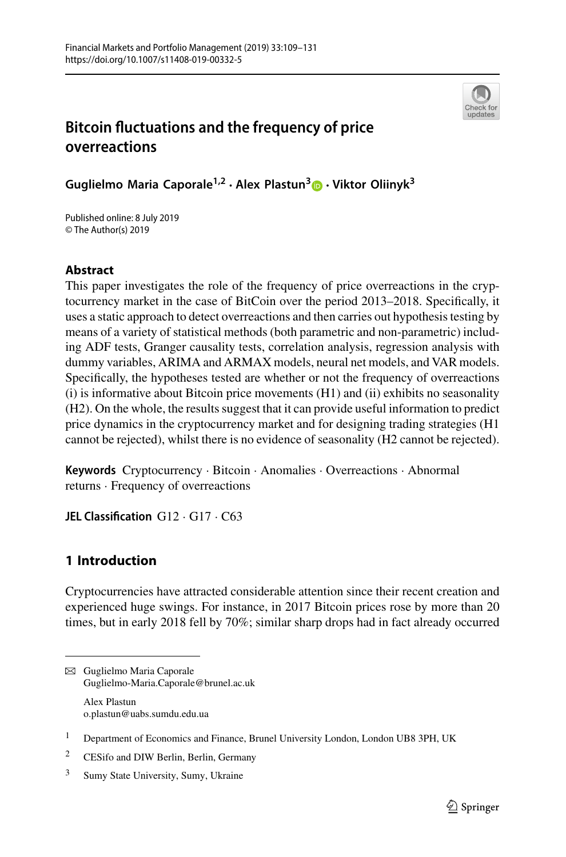

# **Bitcoin fluctuations and the frequency of price overreactions**

**Guglielmo Maria Caporale1,2 · Alex Plastun[3](http://orcid.org/0000-0001-8208-7135) · Viktor Oliinyk<sup>3</sup>**

Published online: 8 July 2019 © The Author(s) 2019

## **Abstract**

This paper investigates the role of the frequency of price overreactions in the cryptocurrency market in the case of BitCoin over the period 2013–2018. Specifically, it uses a static approach to detect overreactions and then carries out hypothesis testing by means of a variety of statistical methods (both parametric and non-parametric) including ADF tests, Granger causality tests, correlation analysis, regression analysis with dummy variables, ARIMA and ARMAX models, neural net models, and VAR models. Specifically, the hypotheses tested are whether or not the frequency of overreactions (i) is informative about Bitcoin price movements (H1) and (ii) exhibits no seasonality (H2). On the whole, the results suggest that it can provide useful information to predict price dynamics in the cryptocurrency market and for designing trading strategies (H1 cannot be rejected), whilst there is no evidence of seasonality (H2 cannot be rejected).

**Keywords** Cryptocurrency · Bitcoin · Anomalies · Overreactions · Abnormal returns · Frequency of overreactions

**JEL Classification** G12 · G17 · C63

## **1 Introduction**

Cryptocurrencies have attracted considerable attention since their recent creation and experienced huge swings. For instance, in 2017 Bitcoin prices rose by more than 20 times, but in early 2018 fell by 70%; similar sharp drops had in fact already occurred

B Guglielmo Maria Caporale Guglielmo-Maria.Caporale@brunel.ac.uk Alex Plastun o.plastun@uabs.sumdu.edu.ua

<sup>&</sup>lt;sup>1</sup> Department of Economics and Finance, Brunel University London, London UB8 3PH, UK

<sup>2</sup> CESifo and DIW Berlin, Berlin, Germany

<sup>3</sup> Sumy State University, Sumy, Ukraine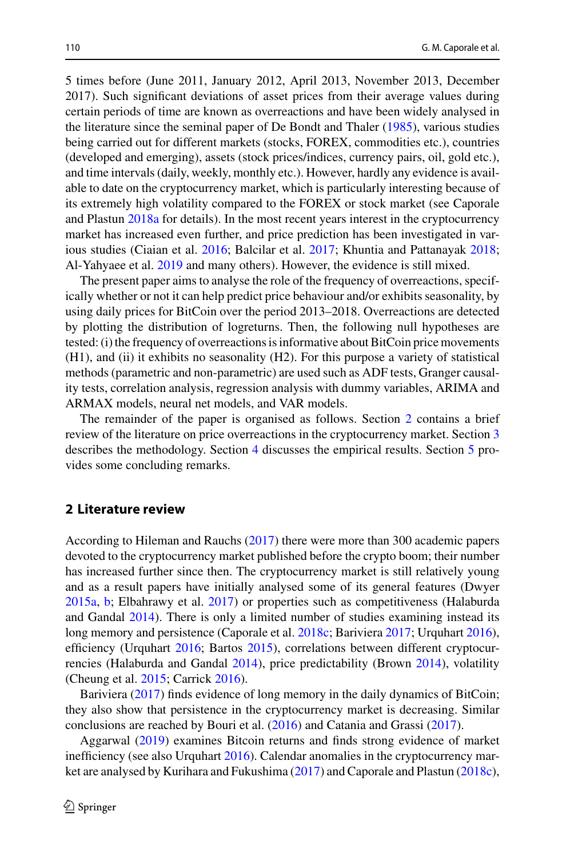5 times before (June 2011, January 2012, April 2013, November 2013, December 2017). Such significant deviations of asset prices from their average values during certain periods of time are known as overreactions and have been widely analysed in the literature since the seminal paper of De Bondt and Thaler [\(1985\)](#page-21-0), various studies being carried out for different markets (stocks, FOREX, commodities etc.), countries (developed and emerging), assets (stock prices/indices, currency pairs, oil, gold etc.), and time intervals (daily, weekly, monthly etc.). However, hardly any evidence is available to date on the cryptocurrency market, which is particularly interesting because of its extremely high volatility compared to the FOREX or stock market (see Caporale and Plastun [2018a](#page-21-1) for details). In the most recent years interest in the cryptocurrency market has increased even further, and price prediction has been investigated in various studies (Ciaian et al. [2016;](#page-21-2) Balcilar et al. [2017;](#page-20-0) Khuntia and Pattanayak [2018;](#page-21-3) Al-Yahyaee et al. [2019](#page-20-1) and many others). However, the evidence is still mixed.

The present paper aims to analyse the role of the frequency of overreactions, specifically whether or not it can help predict price behaviour and/or exhibits seasonality, by using daily prices for BitCoin over the period 2013–2018. Overreactions are detected by plotting the distribution of logreturns. Then, the following null hypotheses are tested: (i) the frequency of overreactions is informative about BitCoin price movements (H1), and (ii) it exhibits no seasonality (H2). For this purpose a variety of statistical methods (parametric and non-parametric) are used such as ADF tests, Granger causality tests, correlation analysis, regression analysis with dummy variables, ARIMA and ARMAX models, neural net models, and VAR models.

The remainder of the paper is organised as follows. Section [2](#page-1-0) contains a brief review of the literature on price overreactions in the cryptocurrency market. Section [3](#page-3-0) describes the methodology. Section [4](#page-5-0) discusses the empirical results. Section [5](#page-16-0) provides some concluding remarks.

### <span id="page-1-0"></span>**2 Literature review**

According to Hileman and Rauchs [\(2017\)](#page-21-4) there were more than 300 academic papers devoted to the cryptocurrency market published before the crypto boom; their number has increased further since then. The cryptocurrency market is still relatively young and as a result papers have initially analysed some of its general features (Dwyer [2015a,](#page-21-5) [b;](#page-21-6) Elbahrawy et al. [2017\)](#page-21-7) or properties such as competitiveness (Halaburda and Gandal [2014\)](#page-21-8). There is only a limited number of studies examining instead its long memory and persistence (Caporale et al. [2018c;](#page-21-9) Bariviera [2017;](#page-20-2) Urquhart [2016\)](#page-22-0), efficiency (Urquhart [2016;](#page-22-0) Bartos [2015\)](#page-20-3), correlations between different cryptocurrencies (Halaburda and Gandal [2014\)](#page-21-8), price predictability (Brown [2014\)](#page-21-10), volatility (Cheung et al. [2015;](#page-21-11) Carrick [2016\)](#page-21-12).

Bariviera [\(2017\)](#page-20-2) finds evidence of long memory in the daily dynamics of BitCoin; they also show that persistence in the cryptocurrency market is decreasing. Similar conclusions are reached by Bouri et al. [\(2016\)](#page-21-13) and Catania and Grassi [\(2017\)](#page-21-14).

Aggarwal [\(2019\)](#page-20-4) examines Bitcoin returns and finds strong evidence of market inefficiency (see also Urquhart [2016\)](#page-22-0). Calendar anomalies in the cryptocurrency market are analysed by Kurihara and Fukushima [\(2017\)](#page-21-15) and Caporale and Plastun [\(2018c\)](#page-21-16),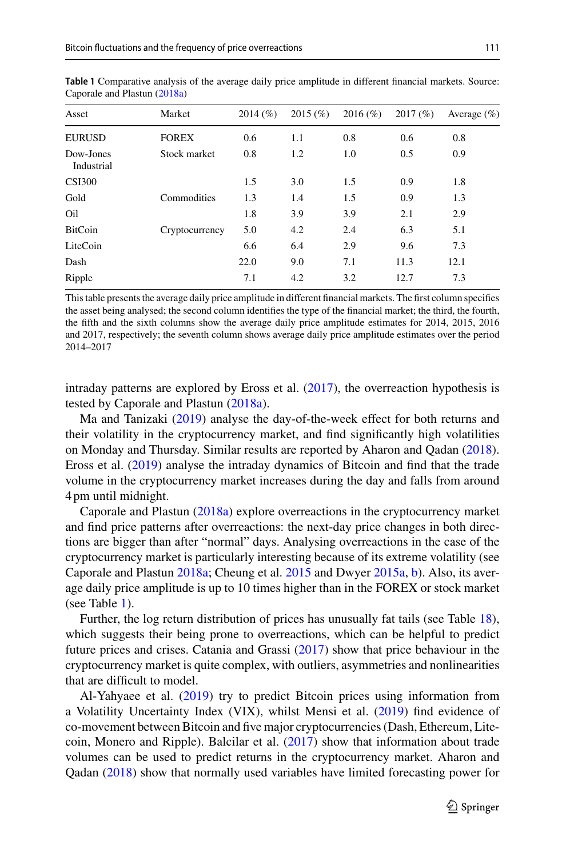| Asset                   | Market         | 2014(%) | 2015(%) | $2016 (\%)$ | 2017(%) | Average $(\% )$ |
|-------------------------|----------------|---------|---------|-------------|---------|-----------------|
| <b>EURUSD</b>           | <b>FOREX</b>   | 0.6     | 1.1     | 0.8         | 0.6     | 0.8             |
| Dow-Jones<br>Industrial | Stock market   | 0.8     | 1.2     | 1.0         | 0.5     | 0.9             |
| <b>CSI300</b>           |                | 1.5     | 3.0     | 1.5         | 0.9     | 1.8             |
| Gold                    | Commodities    | 1.3     | 1.4     | 1.5         | 0.9     | 1.3             |
| Oil                     |                | 1.8     | 3.9     | 3.9         | 2.1     | 2.9             |
| <b>BitCoin</b>          | Cryptocurrency | 5.0     | 4.2     | 2.4         | 6.3     | 5.1             |
| LiteCoin                |                | 6.6     | 6.4     | 2.9         | 9.6     | 7.3             |
| Dash                    |                | 22.0    | 9.0     | 7.1         | 11.3    | 12.1            |
| Ripple                  |                | 7.1     | 4.2     | 3.2         | 12.7    | 7.3             |

<span id="page-2-0"></span>**Table 1** Comparative analysis of the average daily price amplitude in different financial markets. Source: Caporale and Plastun [\(2018a\)](#page-21-1)

This table presents the average daily price amplitude in different financial markets. The first column specifies the asset being analysed; the second column identifies the type of the financial market; the third, the fourth, the fifth and the sixth columns show the average daily price amplitude estimates for 2014, 2015, 2016 and 2017, respectively; the seventh column shows average daily price amplitude estimates over the period 2014–2017

intraday patterns are explored by Eross et al. [\(2017\)](#page-21-17), the overreaction hypothesis is tested by Caporale and Plastun [\(2018a\)](#page-21-1).

Ma and Tanizaki [\(2019\)](#page-21-18) analyse the day-of-the-week effect for both returns and their volatility in the cryptocurrency market, and find significantly high volatilities on Monday and Thursday. Similar results are reported by Aharon and Qadan [\(2018\)](#page-20-5). Eross et al. [\(2019\)](#page-21-19) analyse the intraday dynamics of Bitcoin and find that the trade volume in the cryptocurrency market increases during the day and falls from around 4 pm until midnight.

Caporale and Plastun [\(2018a\)](#page-21-1) explore overreactions in the cryptocurrency market and find price patterns after overreactions: the next-day price changes in both directions are bigger than after "normal" days. Analysing overreactions in the case of the cryptocurrency market is particularly interesting because of its extreme volatility (see Caporale and Plastun [2018a;](#page-21-1) Cheung et al. [2015](#page-21-11) and Dwyer [2015a,](#page-21-5) [b\)](#page-21-6). Also, its average daily price amplitude is up to 10 times higher than in the FOREX or stock market (see Table [1\)](#page-2-0).

Further, the log return distribution of prices has unusually fat tails (see Table [18\)](#page-17-0), which suggests their being prone to overreactions, which can be helpful to predict future prices and crises. Catania and Grassi [\(2017\)](#page-21-14) show that price behaviour in the cryptocurrency market is quite complex, with outliers, asymmetries and nonlinearities that are difficult to model.

Al-Yahyaee et al. [\(2019\)](#page-20-1) try to predict Bitcoin prices using information from a Volatility Uncertainty Index (VIX), whilst Mensi et al. [\(2019\)](#page-21-20) find evidence of co-movement between Bitcoin and five major cryptocurrencies (Dash, Ethereum, Litecoin, Monero and Ripple). Balcilar et al.  $(2017)$  show that information about trade volumes can be used to predict returns in the cryptocurrency market. Aharon and Qadan [\(2018\)](#page-20-5) show that normally used variables have limited forecasting power for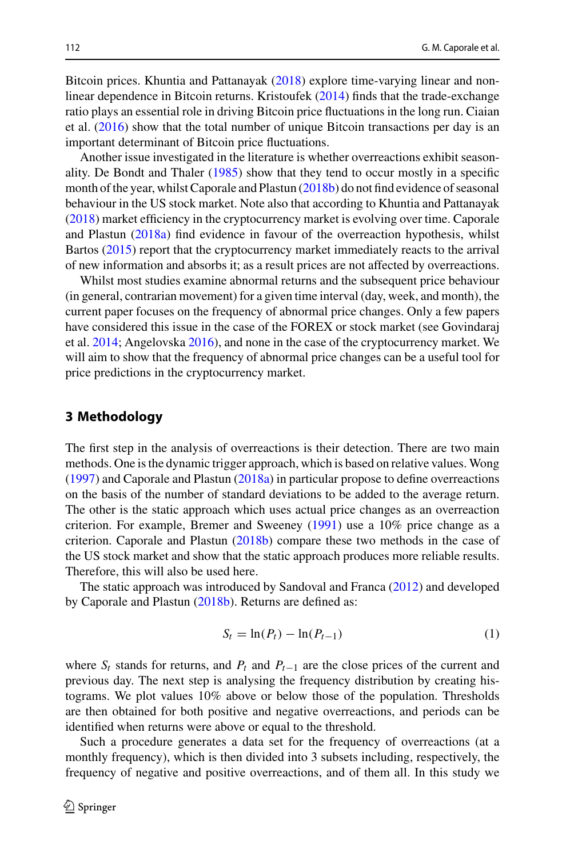Bitcoin prices. Khuntia and Pattanayak [\(2018\)](#page-21-3) explore time-varying linear and nonlinear dependence in Bitcoin returns. Kristoufek [\(2014\)](#page-21-21) finds that the trade-exchange ratio plays an essential role in driving Bitcoin price fluctuations in the long run. Ciaian et al. [\(2016\)](#page-21-2) show that the total number of unique Bitcoin transactions per day is an important determinant of Bitcoin price fluctuations.

Another issue investigated in the literature is whether overreactions exhibit seasonality. De Bondt and Thaler [\(1985\)](#page-21-0) show that they tend to occur mostly in a specific month of the year, whilst Caporale and Plastun [\(2018b\)](#page-21-22) do not find evidence of seasonal behaviour in the US stock market. Note also that according to Khuntia and Pattanayak [\(2018\)](#page-21-3) market efficiency in the cryptocurrency market is evolving over time. Caporale and Plastun [\(2018a\)](#page-21-1) find evidence in favour of the overreaction hypothesis, whilst Bartos [\(2015\)](#page-20-3) report that the cryptocurrency market immediately reacts to the arrival of new information and absorbs it; as a result prices are not affected by overreactions.

Whilst most studies examine abnormal returns and the subsequent price behaviour (in general, contrarian movement) for a given time interval (day, week, and month), the current paper focuses on the frequency of abnormal price changes. Only a few papers have considered this issue in the case of the FOREX or stock market (see Govindaraj et al. [2014;](#page-21-23) Angelovska [2016\)](#page-20-6), and none in the case of the cryptocurrency market. We will aim to show that the frequency of abnormal price changes can be a useful tool for price predictions in the cryptocurrency market.

### <span id="page-3-0"></span>**3 Methodology**

The first step in the analysis of overreactions is their detection. There are two main methods. One is the dynamic trigger approach, which is based on relative values. Wong [\(1997\)](#page-22-1) and Caporale and Plastun [\(2018a\)](#page-21-1) in particular propose to define overreactions on the basis of the number of standard deviations to be added to the average return. The other is the static approach which uses actual price changes as an overreaction criterion. For example, Bremer and Sweeney [\(1991\)](#page-21-24) use a 10% price change as a criterion. Caporale and Plastun [\(2018b\)](#page-21-22) compare these two methods in the case of the US stock market and show that the static approach produces more reliable results. Therefore, this will also be used here.

The static approach was introduced by Sandoval and Franca [\(2012\)](#page-22-2) and developed by Caporale and Plastun [\(2018b\)](#page-21-22). Returns are defined as:

$$
S_t = \ln(P_t) - \ln(P_{t-1})
$$
\n(1)

where  $S_t$  stands for returns, and  $P_t$  and  $P_{t-1}$  are the close prices of the current and previous day. The next step is analysing the frequency distribution by creating histograms. We plot values 10% above or below those of the population. Thresholds are then obtained for both positive and negative overreactions, and periods can be identified when returns were above or equal to the threshold.

Such a procedure generates a data set for the frequency of overreactions (at a monthly frequency), which is then divided into 3 subsets including, respectively, the frequency of negative and positive overreactions, and of them all. In this study we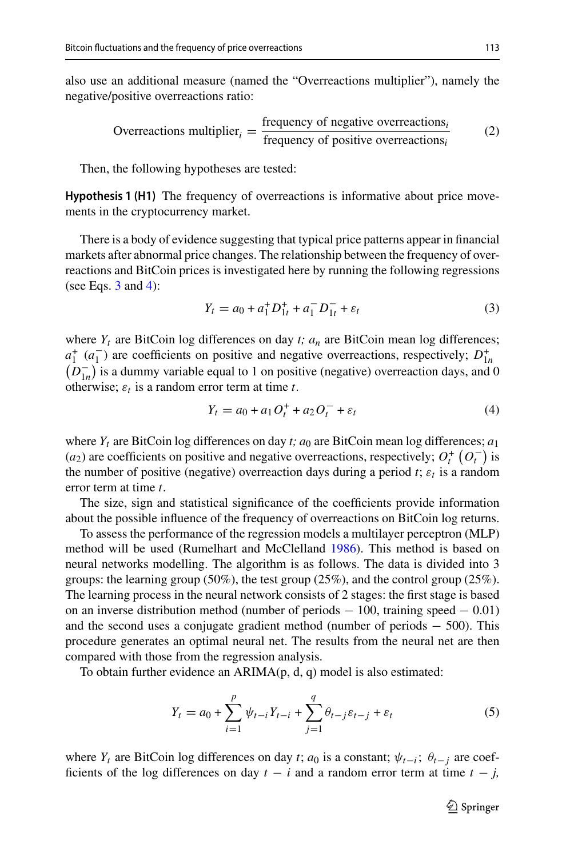also use an additional measure (named the "Overreactions multiplier"), namely the negative/positive overreactions ratio:

Overreactions multiplier<sub>i</sub> = 
$$
\frac{\text{frequency of negative overreactions}_{i}}{\text{frequency of positive overreactions}_{i}}
$$
 (2)

Then, the following hypotheses are tested:

**Hypothesis 1 (H1)** The frequency of overreactions is informative about price movements in the cryptocurrency market.

There is a body of evidence suggesting that typical price patterns appear in financial markets after abnormal price changes. The relationship between the frequency of overreactions and BitCoin prices is investigated here by running the following regressions (see Eqs.  $3$  and  $4$ ):

<span id="page-4-0"></span>
$$
Y_t = a_0 + a_1^+ D_{1t}^+ + a_1^- D_{1t}^- + \varepsilon_t \tag{3}
$$

where  $Y_t$  are BitCoin log differences on day  $t$ ;  $a_n$  are BitCoin mean log differences;  $a_1^+$  ( $a_1^-$ ) are coefficients on positive and negative overreactions, respectively;  $D_{1n}^+$  $(D_{1n}^-)$  is a dummy variable equal to 1 on positive (negative) overreaction days, and 0 otherwise;  $\varepsilon_t$  is a random error term at time *t*.

<span id="page-4-1"></span>
$$
Y_t = a_0 + a_1 O_t^+ + a_2 O_t^- + \varepsilon_t \tag{4}
$$

where  $Y_t$  are BitCoin log differences on day *t*;  $a_0$  are BitCoin mean log differences;  $a_1$  $(a_2)$  are coefficients on positive and negative overreactions, respectively;  $O_t^+ (O_t^-)$  is the number of positive (negative) overreaction days during a period  $t$ ;  $\varepsilon_t$  is a random error term at time *t*.

The size, sign and statistical significance of the coefficients provide information about the possible influence of the frequency of overreactions on BitCoin log returns.

To assess the performance of the regression models a multilayer perceptron (MLP) method will be used (Rumelhart and McClelland [1986\)](#page-22-3). This method is based on neural networks modelling. The algorithm is as follows. The data is divided into 3 groups: the learning group (50%), the test group (25%), and the control group (25%). The learning process in the neural network consists of 2 stages: the first stage is based on an inverse distribution method (number of periods  $-100$ , training speed  $-0.01$ ) and the second uses a conjugate gradient method (number of periods − 500). This procedure generates an optimal neural net. The results from the neural net are then compared with those from the regression analysis.

To obtain further evidence an ARIMA(p, d, q) model is also estimated:

$$
Y_t = a_0 + \sum_{i=1}^p \psi_{t-i} Y_{t-i} + \sum_{j=1}^q \theta_{t-j} \varepsilon_{t-j} + \varepsilon_t
$$
 (5)

where  $Y_t$  are BitCoin log differences on day *t*;  $a_0$  is a constant;  $\psi_{t-i}$ ;  $\theta_{t-i}$  are coefficients of the log differences on day  $t - i$  and a random error term at time  $t - j$ ,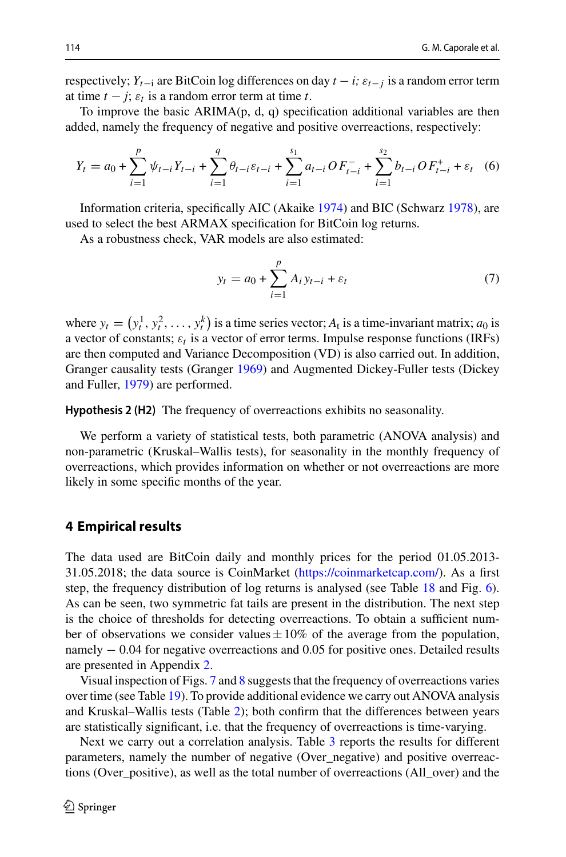respectively;  $Y_{t-1}$  are BitCoin log differences on day  $t - i$ ;  $\varepsilon_{t-1}$  is a random error term at time  $t - j$ ;  $\varepsilon_t$  is a random error term at time  $t$ .

To improve the basic  $ARIMA(p, d, q)$  specification additional variables are then added, namely the frequency of negative and positive overreactions, respectively:

$$
Y_t = a_0 + \sum_{i=1}^p \psi_{t-i} Y_{t-i} + \sum_{i=1}^q \theta_{t-i} \varepsilon_{t-i} + \sum_{i=1}^{s_1} a_{t-i} O F_{t-i}^- + \sum_{i=1}^{s_2} b_{t-i} O F_{t-i}^+ + \varepsilon_t \quad (6)
$$

Information criteria, specifically AIC (Akaike [1974\)](#page-20-7) and BIC (Schwarz [1978\)](#page-22-4), are used to select the best ARMAX specification for BitCoin log returns.

As a robustness check, VAR models are also estimated:

<span id="page-5-1"></span>
$$
y_t = a_0 + \sum_{i=1}^p A_i y_{t-i} + \varepsilon_t
$$
 (7)

where  $y_t = (y_t^1, y_t^2, \dots, y_t^k)$  is a time series vector;  $A_t$  is a time-invariant matrix;  $a_0$  is a vector of constants;  $\varepsilon_t$  is a vector of error terms. Impulse response functions (IRFs) are then computed and Variance Decomposition (VD) is also carried out. In addition, Granger causality tests (Granger [1969\)](#page-21-25) and Augmented Dickey-Fuller tests (Dickey and Fuller, [1979\)](#page-21-26) are performed.

**Hypothesis 2 (H2)** The frequency of overreactions exhibits no seasonality.

We perform a variety of statistical tests, both parametric (ANOVA analysis) and non-parametric (Kruskal–Wallis tests), for seasonality in the monthly frequency of overreactions, which provides information on whether or not overreactions are more likely in some specific months of the year.

### <span id="page-5-0"></span>**4 Empirical results**

The data used are BitCoin daily and monthly prices for the period 01.05.2013- 31.05.2018; the data source is CoinMarket [\(https://coinmarketcap.com/\)](https://coinmarketcap.com/). As a first step, the frequency distribution of log returns is analysed (see Table [18](#page-17-0) and Fig. [6\)](#page-17-1). As can be seen, two symmetric fat tails are present in the distribution. The next step is the choice of thresholds for detecting overreactions. To obtain a sufficient number of observations we consider values  $\pm 10\%$  of the average from the population, namely − 0.04 for negative overreactions and 0.05 for positive ones. Detailed results are presented in Appendix [2.](#page-5-0)

Visual inspection of Figs. [7](#page-18-0) and [8](#page-19-0) suggests that the frequency of overreactions varies over time (see Table [19\)](#page-18-1). To provide additional evidence we carry out ANOVA analysis and Kruskal–Wallis tests (Table [2\)](#page-6-0); both confirm that the differences between years are statistically significant, i.e. that the frequency of overreactions is time-varying.

Next we carry out a correlation analysis. Table [3](#page-6-1) reports the results for different parameters, namely the number of negative (Over\_negative) and positive overreactions (Over\_positive), as well as the total number of overreactions (All\_over) and the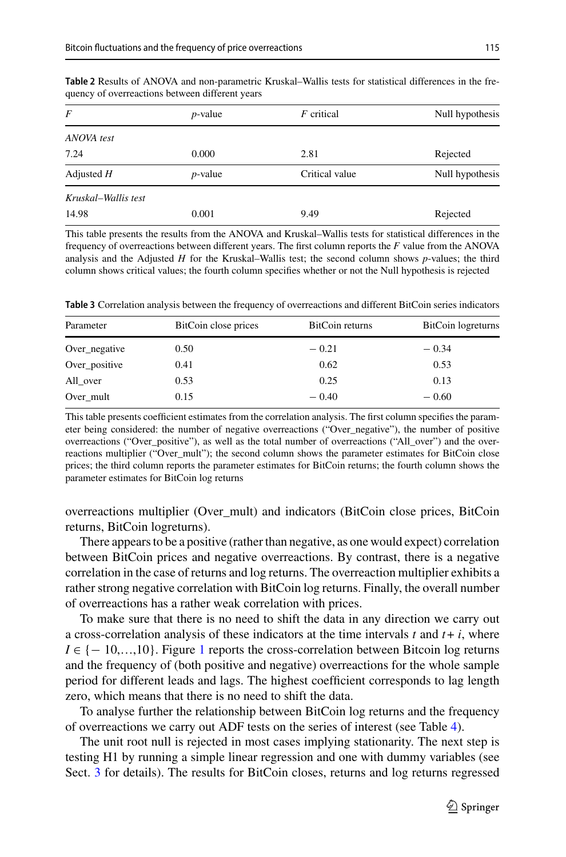| F                   | $p$ -value | F critical     | Null hypothesis |
|---------------------|------------|----------------|-----------------|
| ANOVA test          |            |                |                 |
| 7.24                | 0.000      | 2.81           | Rejected        |
| Adjusted $H$        | $p$ -value | Critical value | Null hypothesis |
| Kruskal–Wallis test |            |                |                 |
| 14.98               | 0.001      | 9.49           | Rejected        |

<span id="page-6-0"></span>**Table 2** Results of ANOVA and non-parametric Kruskal–Wallis tests for statistical differences in the frequency of overreactions between different years

This table presents the results from the ANOVA and Kruskal–Wallis tests for statistical differences in the frequency of overreactions between different years. The first column reports the *F* value from the ANOVA analysis and the Adjusted *H* for the Kruskal–Wallis test; the second column shows *p*-values; the third column shows critical values; the fourth column specifies whether or not the Null hypothesis is rejected

<span id="page-6-1"></span>**Table 3** Correlation analysis between the frequency of overreactions and different BitCoin series indicators

| Parameter     | BitCoin close prices | BitCoin returns | BitCoin logreturns |
|---------------|----------------------|-----------------|--------------------|
| Over_negative | 0.50                 | $-0.21$         | $-0.34$            |
| Over_positive | 0.41                 | 0.62            | 0.53               |
| All_over      | 0.53                 | 0.25            | 0.13               |
| Over mult     | 0.15                 | $-0.40$         | $-0.60$            |

This table presents coefficient estimates from the correlation analysis. The first column specifies the parameter being considered: the number of negative overreactions ("Over\_negative"), the number of positive overreactions ("Over\_positive"), as well as the total number of overreactions ("All\_over") and the overreactions multiplier ("Over\_mult"); the second column shows the parameter estimates for BitCoin close prices; the third column reports the parameter estimates for BitCoin returns; the fourth column shows the parameter estimates for BitCoin log returns

overreactions multiplier (Over\_mult) and indicators (BitCoin close prices, BitCoin returns, BitCoin logreturns).

There appears to be a positive (rather than negative, as one would expect) correlation between BitCoin prices and negative overreactions. By contrast, there is a negative correlation in the case of returns and log returns. The overreaction multiplier exhibits a rather strong negative correlation with BitCoin log returns. Finally, the overall number of overreactions has a rather weak correlation with prices.

To make sure that there is no need to shift the data in any direction we carry out a cross-correlation analysis of these indicators at the time intervals  $t$  and  $t + i$ , where  $I \in \{-10,...,10\}$  $I \in \{-10,...,10\}$  $I \in \{-10,...,10\}$ . Figure 1 reports the cross-correlation between Bitcoin log returns and the frequency of (both positive and negative) overreactions for the whole sample period for different leads and lags. The highest coefficient corresponds to lag length zero, which means that there is no need to shift the data.

To analyse further the relationship between BitCoin log returns and the frequency of overreactions we carry out ADF tests on the series of interest (see Table [4\)](#page-7-1).

The unit root null is rejected in most cases implying stationarity. The next step is testing H1 by running a simple linear regression and one with dummy variables (see Sect. [3](#page-3-0) for details). The results for BitCoin closes, returns and log returns regressed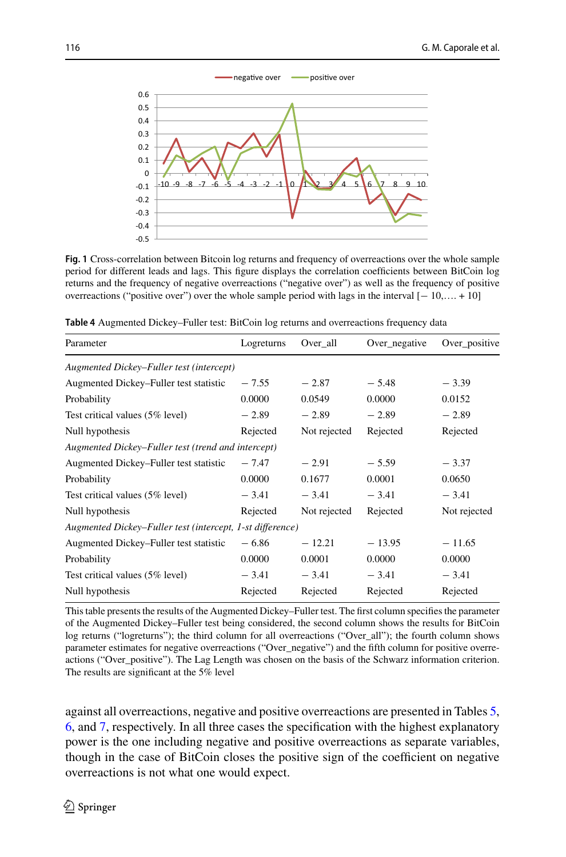

<span id="page-7-0"></span>**Fig. 1** Cross-correlation between Bitcoin log returns and frequency of overreactions over the whole sample period for different leads and lags. This figure displays the correlation coefficients between BitCoin log returns and the frequency of negative overreactions ("negative over") as well as the frequency of positive overreactions ("positive over") over the whole sample period with lags in the interval [− 10,…. + 10]

| Parameter                                                 | Logreturns | Over_all     | Over_negative | Over_positive |  |  |
|-----------------------------------------------------------|------------|--------------|---------------|---------------|--|--|
| Augmented Dickey–Fuller test (intercept)                  |            |              |               |               |  |  |
| Augmented Dickey-Fuller test statistic                    | $-7.55$    | $-2.87$      | $-5.48$       | $-3.39$       |  |  |
| Probability                                               | 0.0000     | 0.0549       | 0.0000        | 0.0152        |  |  |
| Test critical values (5% level)                           | $-2.89$    | $-2.89$      | $-2.89$       | $-2.89$       |  |  |
| Null hypothesis                                           | Rejected   | Not rejected | Rejected      | Rejected      |  |  |
| Augmented Dickey–Fuller test (trend and intercept)        |            |              |               |               |  |  |
| Augmented Dickey–Fuller test statistic                    | $-7.47$    | $-2.91$      | $-5.59$       | $-3.37$       |  |  |
| Probability                                               | 0.0000     | 0.1677       | 0.0001        | 0.0650        |  |  |
| Test critical values (5% level)                           | $-3.41$    | $-3.41$      | $-3.41$       | $-3.41$       |  |  |
| Null hypothesis                                           | Rejected   | Not rejected | Rejected      | Not rejected  |  |  |
| Augmented Dickey–Fuller test (intercept, 1-st difference) |            |              |               |               |  |  |
| Augmented Dickey–Fuller test statistic                    | $-6.86$    | $-12.21$     | $-13.95$      | $-11.65$      |  |  |
| Probability                                               | 0.0000     | 0.0001       | 0.0000        | 0.0000        |  |  |
| Test critical values (5% level)                           | $-3.41$    | $-3.41$      | $-3.41$       | $-3.41$       |  |  |
| Null hypothesis                                           | Rejected   | Rejected     | Rejected      | Rejected      |  |  |

<span id="page-7-1"></span>**Table 4** Augmented Dickey–Fuller test: BitCoin log returns and overreactions frequency data

This table presents the results of the Augmented Dickey–Fuller test. The first column specifies the parameter of the Augmented Dickey–Fuller test being considered, the second column shows the results for BitCoin log returns ("logreturns"); the third column for all overreactions ("Over\_all"); the fourth column shows parameter estimates for negative overreactions ("Over\_negative") and the fifth column for positive overreactions ("Over\_positive"). The Lag Length was chosen on the basis of the Schwarz information criterion. The results are significant at the 5% level

against all overreactions, negative and positive overreactions are presented in Tables [5,](#page-8-0) [6,](#page-8-1) and [7,](#page-9-0) respectively. In all three cases the specification with the highest explanatory power is the one including negative and positive overreactions as separate variables, though in the case of BitCoin closes the positive sign of the coefficient on negative overreactions is not what one would expect.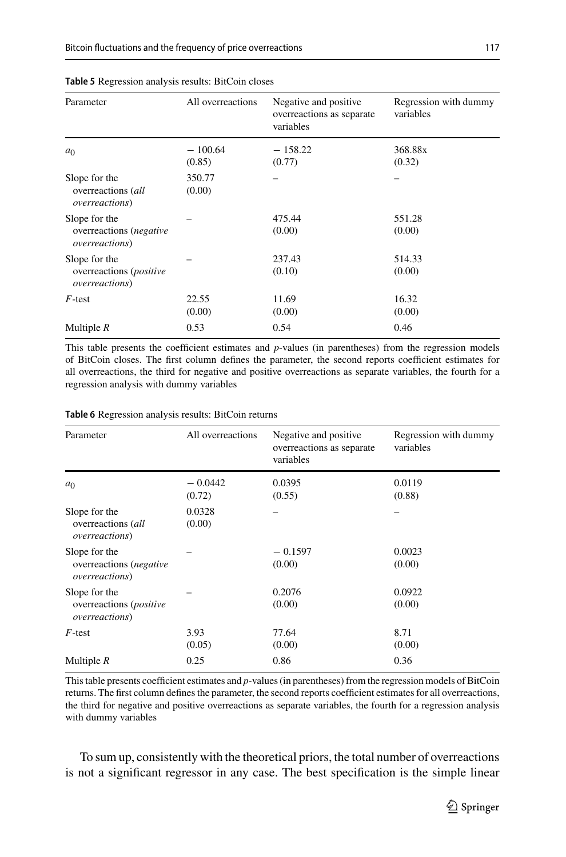| Parameter                                                                  | All overreactions   | Negative and positive<br>overreactions as separate<br>variables | Regression with dummy<br>variables |
|----------------------------------------------------------------------------|---------------------|-----------------------------------------------------------------|------------------------------------|
| a <sub>0</sub>                                                             | $-100.64$<br>(0.85) | $-158.22$<br>(0.77)                                             | 368.88x<br>(0.32)                  |
| Slope for the<br>overreactions (all<br><i>overreactions</i> )              | 350.77<br>(0.00)    |                                                                 |                                    |
| Slope for the<br>overreactions ( <i>negative</i><br><i>overreactions</i> ) |                     | 475.44<br>(0.00)                                                | 551.28<br>(0.00)                   |
| Slope for the<br>overreactions (positive<br><i>overreactions</i> )         |                     | 237.43<br>(0.10)                                                | 514.33<br>(0.00)                   |
| $F$ -test                                                                  | 22.55<br>(0.00)     | 11.69<br>(0.00)                                                 | 16.32<br>(0.00)                    |
| Multiple $R$                                                               | 0.53                | 0.54                                                            | 0.46                               |

#### <span id="page-8-0"></span>**Table 5** Regression analysis results: BitCoin closes

This table presents the coefficient estimates and *p*-values (in parentheses) from the regression models of BitCoin closes. The first column defines the parameter, the second reports coefficient estimates for all overreactions, the third for negative and positive overreactions as separate variables, the fourth for a regression analysis with dummy variables

| Parameter                                                          | All overreactions   | Negative and positive<br>overreactions as separate<br>variables | Regression with dummy<br>variables |
|--------------------------------------------------------------------|---------------------|-----------------------------------------------------------------|------------------------------------|
| a <sub>0</sub>                                                     | $-0.0442$<br>(0.72) | 0.0395<br>(0.55)                                                | 0.0119<br>(0.88)                   |
| Slope for the<br>overreactions (all<br><i>overreactions</i> )      | 0.0328<br>(0.00)    |                                                                 |                                    |
| Slope for the<br>overreactions (negative<br><i>overreactions</i> ) |                     | $-0.1597$<br>(0.00)                                             | 0.0023<br>(0.00)                   |
| Slope for the<br>overreactions (positive<br>overreactions)         |                     | 0.2076<br>(0.00)                                                | 0.0922<br>(0.00)                   |
| $F$ -test                                                          | 3.93<br>(0.05)      | 77.64<br>(0.00)                                                 | 8.71<br>(0.00)                     |
| Multiple $R$                                                       | 0.25                | 0.86                                                            | 0.36                               |

#### <span id="page-8-1"></span>**Table 6** Regression analysis results: BitCoin returns

This table presents coefficient estimates and *p*-values (in parentheses) from the regression models of BitCoin returns. The first column defines the parameter, the second reports coefficient estimates for all overreactions, the third for negative and positive overreactions as separate variables, the fourth for a regression analysis with dummy variables

To sum up, consistently with the theoretical priors, the total number of overreactions is not a significant regressor in any case. The best specification is the simple linear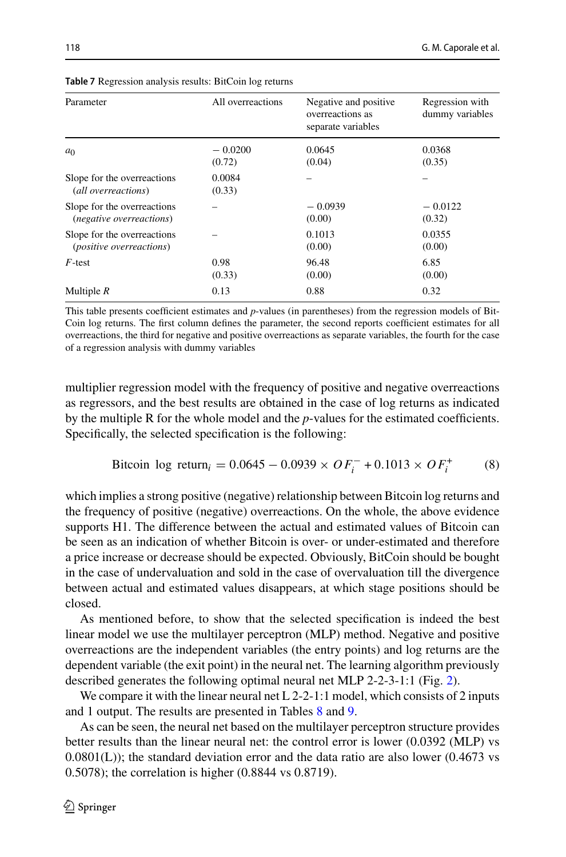$-0.0122$ (0.32)

0.0355 (0.00)

<span id="page-9-1"></span>6.85 (0.00)

<span id="page-9-0"></span>

| <b>Table 7</b> Regression analysis results: BitCoin log returns |                     |                                                                 |                                    |  |  |
|-----------------------------------------------------------------|---------------------|-----------------------------------------------------------------|------------------------------------|--|--|
| Parameter                                                       | All overreactions   | Negative and positive<br>overreactions as<br>separate variables | Regression with<br>dummy variables |  |  |
| $a_0$                                                           | $-0.0200$<br>(0.72) | 0.0645<br>(0.04)                                                | 0.0368<br>(0.35)                   |  |  |

0.0084 (0.33)

(0.33)

**Multiple** *R* 0.13 0.88 0.32

This table presents coefficient estimates and *p*-values (in parentheses) from the regression models of Bit-Coin log returns. The first column defines the parameter, the second reports coefficient estimates for all overreactions, the third for negative and positive overreactions as separate variables, the fourth for the case of a regression analysis with dummy variables

– –

 $-0.0939$ (0.00)

– 0.1013 (0.00)

96.48 (0.00)

multiplier regression model with the frequency of positive and negative overreactions as regressors, and the best results are obtained in the case of log returns as indicated by the multiple R for the whole model and the *p*-values for the estimated coefficients. Specifically, the selected specification is the following:

Bitcoin log return<sub>i</sub> = 
$$
0.0645 - 0.0939 \times OF_i^- + 0.1013 \times OF_i^+
$$
 (8)

which implies a strong positive (negative) relationship between Bitcoin log returns and the frequency of positive (negative) overreactions. On the whole, the above evidence supports H1. The difference between the actual and estimated values of Bitcoin can be seen as an indication of whether Bitcoin is over- or under-estimated and therefore a price increase or decrease should be expected. Obviously, BitCoin should be bought in the case of undervaluation and sold in the case of overvaluation till the divergence between actual and estimated values disappears, at which stage positions should be closed.

As mentioned before, to show that the selected specification is indeed the best linear model we use the multilayer perceptron (MLP) method. Negative and positive overreactions are the independent variables (the entry points) and log returns are the dependent variable (the exit point) in the neural net. The learning algorithm previously described generates the following optimal neural net MLP 2-2-3-1:1 (Fig. [2\)](#page-10-0).

We compare it with the linear neural net  $L_2-2-1:1$  model, which consists of 2 inputs and 1 output. The results are presented in Tables [8](#page-10-1) and [9.](#page-10-2)

As can be seen, the neural net based on the multilayer perceptron structure provides better results than the linear neural net: the control error is lower (0.0392 (MLP) vs  $0.0801(L)$ ); the standard deviation error and the data ratio are also lower (0.4673 vs 0.5078); the correlation is higher (0.8844 vs 0.8719).

Slope for the overreactions (*all overreactions*)

Slope for the overreactions (*negative overreactions*)

Slope for the overreactions (*positive overreactions*)

 $F$ -test 0.98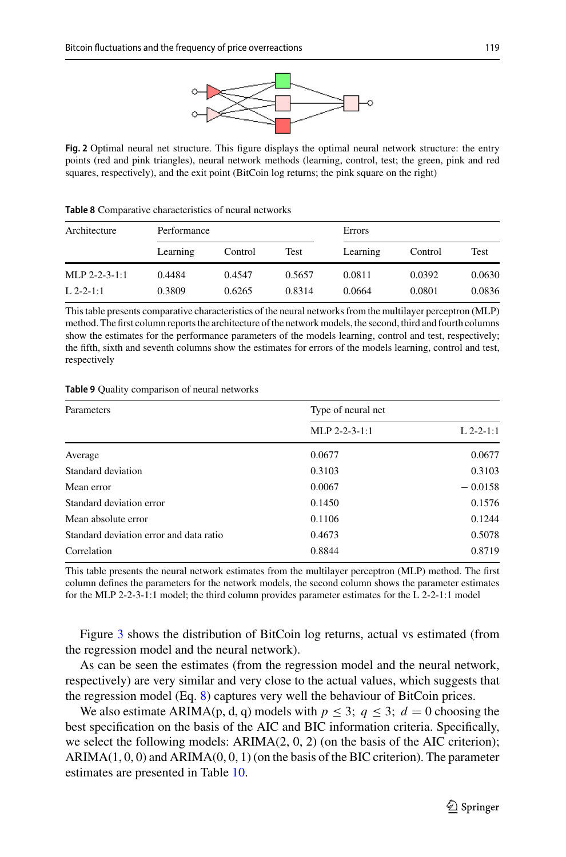

<span id="page-10-0"></span>**Fig. 2** Optimal neural net structure. This figure displays the optimal neural network structure: the entry points (red and pink triangles), neural network methods (learning, control, test; the green, pink and red squares, respectively), and the exit point (BitCoin log returns; the pink square on the right)

| Architecture    | Performance |         |        | Errors   |         |             |
|-----------------|-------------|---------|--------|----------|---------|-------------|
|                 | Learning    | Control | Test   | Learning | Control | <b>Test</b> |
| $MLP$ 2-2-3-1:1 | 0.4484      | 0.4547  | 0.5657 | 0.0811   | 0.0392  | 0.0630      |
| $L$ 2-2-1:1     | 0.3809      | 0.6265  | 0.8314 | 0.0664   | 0.0801  | 0.0836      |

<span id="page-10-1"></span>**Table 8** Comparative characteristics of neural networks

This table presents comparative characteristics of the neural networks from the multilayer perceptron (MLP) method. The first column reports the architecture of the network models, the second, third and fourth columns show the estimates for the performance parameters of the models learning, control and test, respectively; the fifth, sixth and seventh columns show the estimates for errors of the models learning, control and test, respectively

<span id="page-10-2"></span>**Table 9** Quality comparison of neural networks

| Parameters                              | Type of neural net |             |
|-----------------------------------------|--------------------|-------------|
|                                         | MLP 2-2-3-1:1      | $L$ 2-2-1:1 |
| Average                                 | 0.0677             | 0.0677      |
| Standard deviation                      | 0.3103             | 0.3103      |
| Mean error                              | 0.0067             | $-0.0158$   |
| Standard deviation error                | 0.1450             | 0.1576      |
| Mean absolute error                     | 0.1106             | 0.1244      |
| Standard deviation error and data ratio | 0.4673             | 0.5078      |
| Correlation                             | 0.8844             | 0.8719      |

This table presents the neural network estimates from the multilayer perceptron (MLP) method. The first column defines the parameters for the network models, the second column shows the parameter estimates for the MLP 2-2-3-1:1 model; the third column provides parameter estimates for the L 2-2-1:1 model

Figure [3](#page-11-0) shows the distribution of BitCoin log returns, actual vs estimated (from the regression model and the neural network).

As can be seen the estimates (from the regression model and the neural network, respectively) are very similar and very close to the actual values, which suggests that the regression model (Eq. [8\)](#page-9-1) captures very well the behaviour of BitCoin prices.

We also estimate ARIMA(p, d, q) models with  $p \le 3$ ;  $q \le 3$ ;  $d = 0$  choosing the best specification on the basis of the AIC and BIC information criteria. Specifically, we select the following models:  $ARIMA(2, 0, 2)$  (on the basis of the AIC criterion);  $ARIMA(1, 0, 0)$  and  $ARIMA(0, 0, 1)$  (on the basis of the BIC criterion). The parameter estimates are presented in Table [10.](#page-11-1)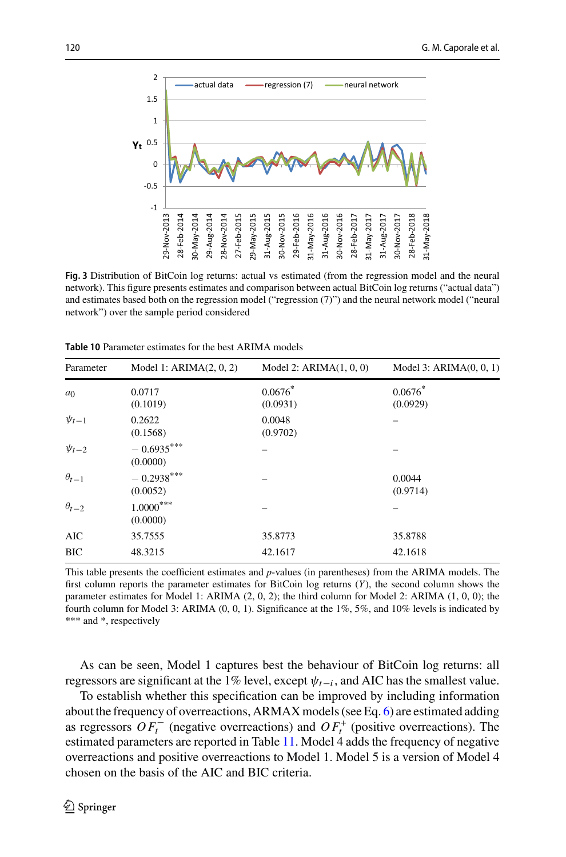

<span id="page-11-0"></span>**Fig. 3** Distribution of BitCoin log returns: actual vs estimated (from the regression model and the neural network). This figure presents estimates and comparison between actual BitCoin log returns ("actual data") and estimates based both on the regression model ("regression (7)") and the neural network model ("neural network") over the sample period considered

| Parameter      | Model 1: $ARIMA(2, 0, 2)$ | Model 2: $ARIMA(1, 0, 0)$ | Model 3: $ARIMA(0, 0, 1)$ |
|----------------|---------------------------|---------------------------|---------------------------|
| a <sub>0</sub> | 0.0717                    | $0.0676*$                 | $0.0676*$                 |
|                | (0.1019)                  | (0.0931)                  | (0.0929)                  |
| $\psi_{t-1}$   | 0.2622                    | 0.0048                    |                           |
|                | (0.1568)                  | (0.9702)                  |                           |
| $\psi_{t-2}$   | $-0.6935***$              |                           |                           |
|                | (0.0000)                  |                           |                           |
| $\theta_{t-1}$ | $-0.2938***$              |                           | 0.0044                    |
|                | (0.0052)                  |                           | (0.9714)                  |
| $\theta_{t-2}$ | $1.0000^{***}$            |                           |                           |
|                | (0.0000)                  |                           |                           |
| AIC            | 35.7555                   | 35.8773                   | 35.8788                   |
| <b>BIC</b>     | 48.3215                   | 42.1617                   | 42.1618                   |
|                |                           |                           |                           |

<span id="page-11-1"></span>**Table 10** Parameter estimates for the best ARIMA models

This table presents the coefficient estimates and *p*-values (in parentheses) from the ARIMA models. The first column reports the parameter estimates for BitCoin log returns (*Y*), the second column shows the parameter estimates for Model 1: ARIMA (2, 0, 2); the third column for Model 2: ARIMA (1, 0, 0); the fourth column for Model 3: ARIMA (0, 0, 1). Significance at the 1%, 5%, and 10% levels is indicated by \*\*\* and \*, respectively

As can be seen, Model 1 captures best the behaviour of BitCoin log returns: all regressors are significant at the 1% level, except  $\psi_{t-i}$ , and AIC has the smallest value.

To establish whether this specification can be improved by including information about the frequency of overreactions, ARMAX models (see Eq. [6\)](#page-5-1) are estimated adding as regressors  $OF_t^-$  (negative overreactions) and  $OF_t^+$  (positive overreactions). The estimated parameters are reported in Table [11.](#page-12-0) Model 4 adds the frequency of negative overreactions and positive overreactions to Model 1. Model 5 is a version of Model 4 chosen on the basis of the AIC and BIC criteria.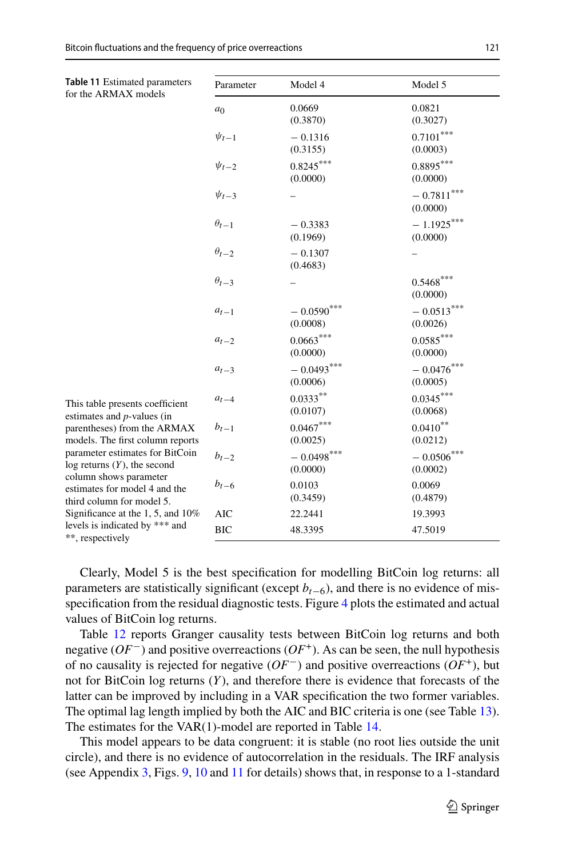<span id="page-12-0"></span>

| Table 11 Estimated parameters<br>for the ARMAX models                                                                                  | Parameter      | Model 4                  | Model 5                   |
|----------------------------------------------------------------------------------------------------------------------------------------|----------------|--------------------------|---------------------------|
|                                                                                                                                        | a <sub>0</sub> | 0.0669<br>(0.3870)       | 0.0821<br>(0.3027)        |
|                                                                                                                                        | $\psi_{t-1}$   | $-0.1316$<br>(0.3155)    | $0.7101***$<br>(0.0003)   |
|                                                                                                                                        | $\psi_{t-2}$   | $0.8245***$<br>(0.0000)  | $0.8895***$<br>(0.0000)   |
|                                                                                                                                        | $\psi_{t-3}$   |                          | $-0.7811$ ***<br>(0.0000) |
|                                                                                                                                        | $\theta_{t-1}$ | $-0.3383$<br>(0.1969)    | $-1.1925***$<br>(0.0000)  |
|                                                                                                                                        | $\theta_{t-2}$ | $-0.1307$<br>(0.4683)    |                           |
|                                                                                                                                        | $\theta_{t-3}$ |                          | $0.5468***$<br>(0.0000)   |
|                                                                                                                                        | $a_{t-1}$      | $-0.0590***$<br>(0.0008) | $-0.0513***$<br>(0.0026)  |
|                                                                                                                                        | $a_{t-2}$      | $0.0663***$<br>(0.0000)  | $0.0585***$<br>(0.0000)   |
|                                                                                                                                        | $a_{t-3}$      | $-0.0493***$<br>(0.0006) | $-0.0476$ ***<br>(0.0005) |
| This table presents coefficient<br>estimates and $p$ -values (in                                                                       | $a_{t-4}$      | $0.0333**$<br>(0.0107)   | $0.0345***$<br>(0.0068)   |
| parentheses) from the ARMAX<br>models. The first column reports<br>parameter estimates for BitCoin<br>$log$ returns $(Y)$ , the second | $b_{t-1}$      | $0.0467***$<br>(0.0025)  | $0.0410**$<br>(0.0212)    |
|                                                                                                                                        | $b_{t-2}$      | $-0.0498***$<br>(0.0000) | $-0.0506***$<br>(0.0002)  |
| column shows parameter<br>estimates for model 4 and the<br>third column for model 5.                                                   | $b_{t-6}$      | 0.0103<br>(0.3459)       | 0.0069<br>(0.4879)        |
| Significance at the 1, 5, and 10%                                                                                                      | AIC            | 22.2441                  | 19.3993                   |
| levels is indicated by *** and<br>**, respectively                                                                                     | <b>BIC</b>     | 48.3395                  | 47.5019                   |

Clearly, Model 5 is the best specification for modelling BitCoin log returns: all parameters are statistically significant (except  $b_{t-6}$ ), and there is no evidence of misspecification from the residual diagnostic tests. Figure [4](#page-13-0) plots the estimated and actual values of BitCoin log returns.

Table [12](#page-13-1) reports Granger causality tests between BitCoin log returns and both negative (*OF*−) and positive overreactions (*OF*+). As can be seen, the null hypothesis of no causality is rejected for negative (*OF*−) and positive overreactions (*OF*+), but not for BitCoin log returns (*Y*), and therefore there is evidence that forecasts of the latter can be improved by including in a VAR specification the two former variables. The optimal lag length implied by both the AIC and BIC criteria is one (see Table [13\)](#page-14-0). The estimates for the VAR(1)-model are reported in Table [14.](#page-14-1)

This model appears to be data congruent: it is stable (no root lies outside the unit circle), and there is no evidence of autocorrelation in the residuals. The IRF analysis (see Appendix [3,](#page-16-0) Figs. [9,](#page-19-1) [10](#page-20-8) and [11](#page-20-9) for details) shows that, in response to a 1-standard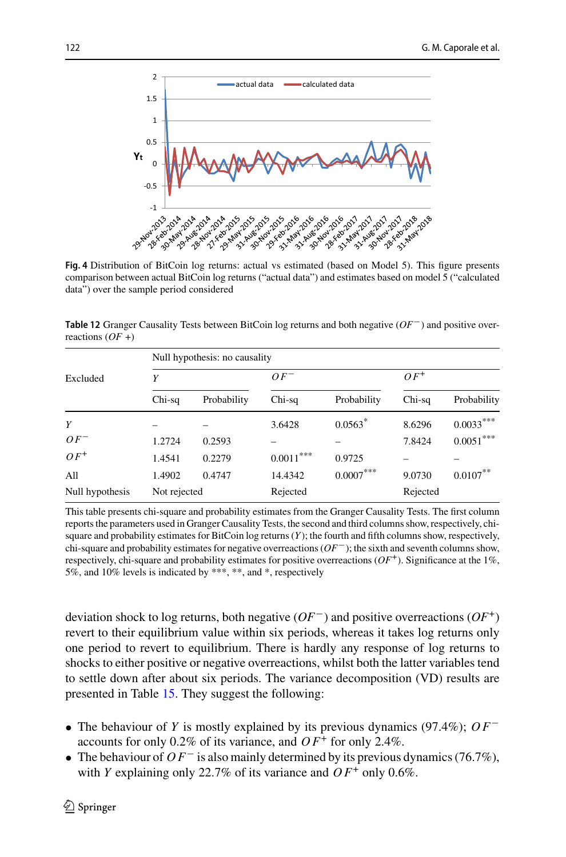

<span id="page-13-0"></span>comparison between actual BitCoin log returns ("actual data") and estimates based on model 5 ("calculated data") over the sample period considered

<span id="page-13-1"></span>**Table 12** Granger Causality Tests between BitCoin log returns and both negative (*OF*−) and positive overreactions (*OF* +)

|                 | Null hypothesis: no causality |             |             |             |          |             |  |
|-----------------|-------------------------------|-------------|-------------|-------------|----------|-------------|--|
| Excluded        | Υ                             |             | $OF^-$      |             | $OF^+$   |             |  |
|                 | Chi-sq                        | Probability | Chi-sq      | Probability | Chi-sq   | Probability |  |
| Y               |                               |             | 3.6428      | $0.0563*$   | 8.6296   | $0.0033***$ |  |
| $OF^-$          | 1.2724                        | 0.2593      |             |             | 7.8424   | $0.0051***$ |  |
| $OF^+$          | 1.4541                        | 0.2279      | $0.0011***$ | 0.9725      |          |             |  |
| All             | 1.4902                        | 0.4747      | 14.4342     | $0.0007***$ | 9.0730   | $0.0107***$ |  |
| Null hypothesis | Not rejected                  |             | Rejected    |             | Rejected |             |  |

This table presents chi-square and probability estimates from the Granger Causality Tests. The first column reports the parameters used in Granger Causality Tests, the second and third columns show, respectively, chisquare and probability estimates for BitCoin log returns (*Y*); the fourth and fifth columns show, respectively, chi-square and probability estimates for negative overreactions (*OF*−); the sixth and seventh columns show, respectively, chi-square and probability estimates for positive overreactions  $(OF^+)$ . Significance at the 1%, 5%, and 10% levels is indicated by \*\*\*, \*\*, and \*, respectively

deviation shock to log returns, both negative (*OF*−) and positive overreactions (*OF*+) revert to their equilibrium value within six periods, whereas it takes log returns only one period to revert to equilibrium. There is hardly any response of log returns to shocks to either positive or negative overreactions, whilst both the latter variables tend to settle down after about six periods. The variance decomposition (VD) results are presented in Table [15.](#page-15-0) They suggest the following:

- The behaviour of *Y* is mostly explained by its previous dynamics (97.4%); *O F*<sup>−</sup> accounts for only 0.2% of its variance, and  $OF<sup>+</sup>$  for only 2.4%.
- The behaviour of *O F*<sup>−</sup> is also mainly determined by its previous dynamics (76.7%), with *Y* explaining only 22.7% of its variance and  $OF^+$  only 0.6%.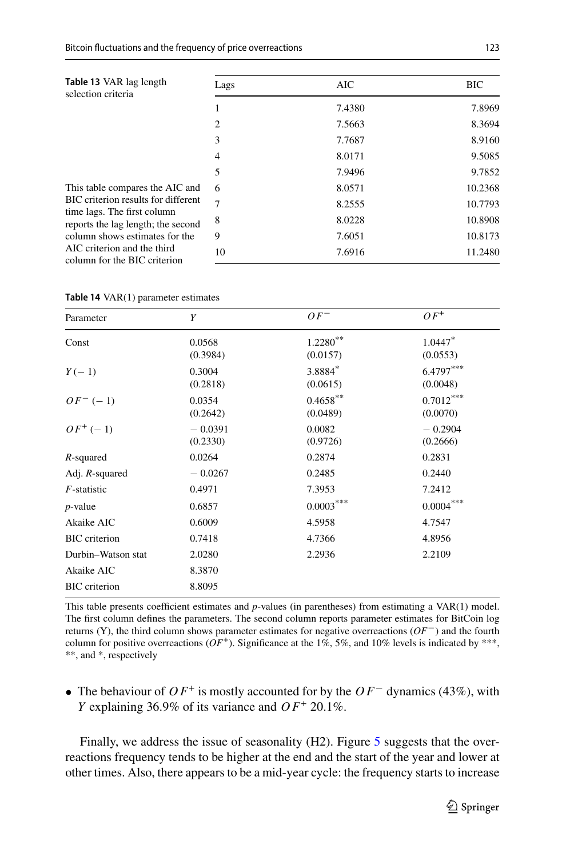<span id="page-14-0"></span>

| Table 13 VAR lag length<br>selection criteria                          | Lags           | AIC    | <b>BIC</b> |
|------------------------------------------------------------------------|----------------|--------|------------|
|                                                                        |                | 7.4380 | 7.8969     |
|                                                                        | $\overline{c}$ | 7.5663 | 8.3694     |
|                                                                        | 3              | 7.7687 | 8.9160     |
|                                                                        | 4              | 8.0171 | 9.5085     |
|                                                                        | 5              | 7.9496 | 9.7852     |
| This table compares the AIC and<br>BIC criterion results for different | 6              | 8.0571 | 10.2368    |
|                                                                        | $\mathcal{I}$  | 8.2555 | 10.7793    |
| time lags. The first column<br>reports the lag length; the second      | 8              | 8.0228 | 10.8908    |
| column shows estimates for the                                         | 9              | 7.6051 | 10.8173    |
| AIC criterion and the third<br>column for the BIC criterion            | 10             | 7.6916 | 11.2480    |

<span id="page-14-1"></span>

|  |  | <b>Table 14</b> $VAR(1)$ parameter estimates |  |
|--|--|----------------------------------------------|--|
|--|--|----------------------------------------------|--|

| Parameter            | Y                     | $OF^-$                  | $OF^+$                            |
|----------------------|-----------------------|-------------------------|-----------------------------------|
| Const                | 0.0568<br>(0.3984)    | $1.2280***$<br>(0.0157) | $1.0447$ <sup>*</sup><br>(0.0553) |
| $Y(-1)$              | 0.3004<br>(0.2818)    | 3.8884*<br>(0.0615)     | $6.4797***$<br>(0.0048)           |
| $OF^{-}(-1)$         | 0.0354<br>(0.2642)    | $0.4658***$<br>(0.0489) | $0.7012***$<br>(0.0070)           |
| $OF^{+}(-1)$         | $-0.0391$<br>(0.2330) | 0.0082<br>(0.9726)      | $-0.2904$<br>(0.2666)             |
| R-squared            | 0.0264                | 0.2874                  | 0.2831                            |
| Adj. $R$ -squared    | $-0.0267$             | 0.2485                  | 0.2440                            |
| $F$ -statistic       | 0.4971                | 7.3953                  | 7.2412                            |
| $p$ -value           | 0.6857                | $0.0003***$             | ${0.0004}^{\ast\ast\ast}$         |
| Akaike AIC           | 0.6009                | 4.5958                  | 4.7547                            |
| <b>BIC</b> criterion | 0.7418                | 4.7366                  | 4.8956                            |
| Durbin-Watson stat   | 2.0280                | 2.2936                  | 2.2109                            |
| Akaike AIC           | 8.3870                |                         |                                   |
| <b>BIC</b> criterion | 8.8095                |                         |                                   |

This table presents coefficient estimates and *p*-values (in parentheses) from estimating a VAR(1) model. The first column defines the parameters. The second column reports parameter estimates for BitCoin log returns (Y), the third column shows parameter estimates for negative overreactions (*OF*−) and the fourth column for positive overreactions ( $OF^+$ ). Significance at the 1%, 5%, and 10% levels is indicated by \*\*\*, \*\*, and \*, respectively

• The behaviour of *O F*<sup>+</sup> is mostly accounted for by the *O F*<sup>−</sup> dynamics (43%), with *Y* explaining 36.9% of its variance and *O F*<sup>+</sup> 20.1%.

Finally, we address the issue of seasonality (H2). Figure [5](#page-15-1) suggests that the overreactions frequency tends to be higher at the end and the start of the year and lower at other times. Also, there appears to be a mid-year cycle: the frequency starts to increase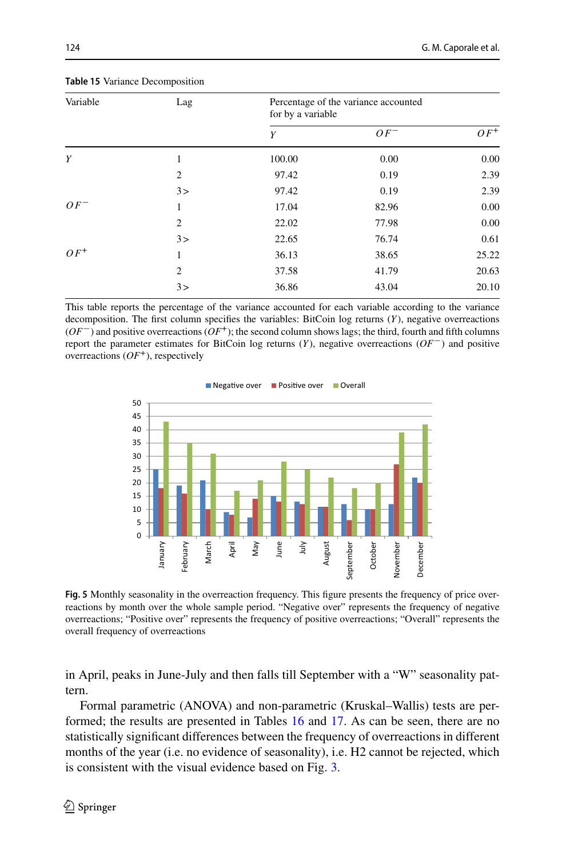| Variable | Lag            | Percentage of the variance accounted<br>for by a variable |        |        |
|----------|----------------|-----------------------------------------------------------|--------|--------|
|          |                | Y                                                         | $OF^-$ | $OF^+$ |
| Y        | 1              | 100.00                                                    | 0.00   | 0.00   |
|          | $\overline{c}$ | 97.42                                                     | 0.19   | 2.39   |
|          | 3>             | 97.42                                                     | 0.19   | 2.39   |
| $OF^-$   | 1              | 17.04                                                     | 82.96  | 0.00   |
|          | 2              | 22.02                                                     | 77.98  | 0.00   |
|          | 3>             | 22.65                                                     | 76.74  | 0.61   |
| $OF^+$   | 1              | 36.13                                                     | 38.65  | 25.22  |
|          | 2              | 37.58                                                     | 41.79  | 20.63  |
|          | 3>             | 36.86                                                     | 43.04  | 20.10  |

<span id="page-15-0"></span>**Table 15** Variance Decomposition

This table reports the percentage of the variance accounted for each variable according to the variance decomposition. The first column specifies the variables: BitCoin log returns (*Y*), negative overreactions (*OF*−) and positive overreactions (*OF*+); the second column shows lags; the third, fourth and fifth columns report the parameter estimates for BitCoin log returns (*Y*), negative overreactions (*OF*−) and positive overreactions  $(OF^+)$ , respectively



<span id="page-15-1"></span>Fig. 5 Monthly seasonality in the overreaction frequency. This figure presents the frequency of price overreactions by month over the whole sample period. "Negative over" represents the frequency of negative overreactions; "Positive over" represents the frequency of positive overreactions; "Overall" represents the overall frequency of overreactions

in April, peaks in June-July and then falls till September with a "W" seasonality pattern.

Formal parametric (ANOVA) and non-parametric (Kruskal–Wallis) tests are performed; the results are presented in Tables [16](#page-16-1) and [17.](#page-16-2) As can be seen, there are no statistically significant differences between the frequency of overreactions in different months of the year (i.e. no evidence of seasonality), i.e. H2 cannot be rejected, which is consistent with the visual evidence based on Fig. [3.](#page-11-0)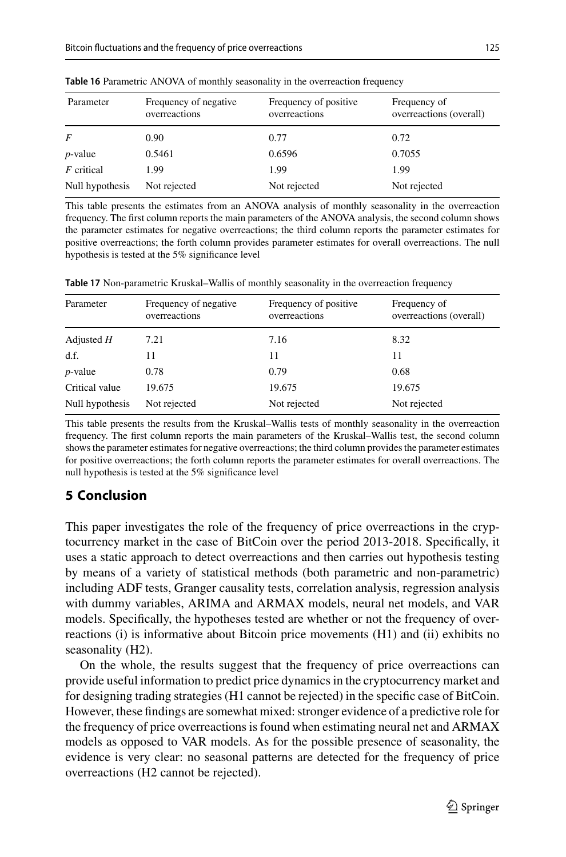| Parameter       | Frequency of negative<br>overreactions | Frequency of positive<br>overreactions | Frequency of<br>overreactions (overall) |
|-----------------|----------------------------------------|----------------------------------------|-----------------------------------------|
| F               | 0.90                                   | 0.77                                   | 0.72                                    |
| $p$ -value      | 0.5461                                 | 0.6596                                 | 0.7055                                  |
| $F$ critical    | 1.99                                   | 1.99                                   | 1.99                                    |
| Null hypothesis | Not rejected                           | Not rejected                           | Not rejected                            |

<span id="page-16-1"></span>**Table 16** Parametric ANOVA of monthly seasonality in the overreaction frequency

This table presents the estimates from an ANOVA analysis of monthly seasonality in the overreaction frequency. The first column reports the main parameters of the ANOVA analysis, the second column shows the parameter estimates for negative overreactions; the third column reports the parameter estimates for positive overreactions; the forth column provides parameter estimates for overall overreactions. The null hypothesis is tested at the 5% significance level

<span id="page-16-2"></span>**Table 17** Non-parametric Kruskal–Wallis of monthly seasonality in the overreaction frequency

| Parameter       | Frequency of negative<br>overreactions | Frequency of positive<br>overreactions | Frequency of<br>overreactions (overall) |
|-----------------|----------------------------------------|----------------------------------------|-----------------------------------------|
| Adjusted $H$    | 7.21                                   | 7.16                                   | 8.32                                    |
| df.             | 11                                     | 11                                     | 11                                      |
| $p$ -value      | 0.78                                   | 0.79                                   | 0.68                                    |
| Critical value  | 19.675                                 | 19.675                                 | 19.675                                  |
| Null hypothesis | Not rejected                           | Not rejected                           | Not rejected                            |

This table presents the results from the Kruskal–Wallis tests of monthly seasonality in the overreaction frequency. The first column reports the main parameters of the Kruskal–Wallis test, the second column shows the parameter estimates for negative overreactions; the third column provides the parameter estimates for positive overreactions; the forth column reports the parameter estimates for overall overreactions. The null hypothesis is tested at the 5% significance level

## <span id="page-16-0"></span>**5 Conclusion**

This paper investigates the role of the frequency of price overreactions in the cryptocurrency market in the case of BitCoin over the period 2013-2018. Specifically, it uses a static approach to detect overreactions and then carries out hypothesis testing by means of a variety of statistical methods (both parametric and non-parametric) including ADF tests, Granger causality tests, correlation analysis, regression analysis with dummy variables, ARIMA and ARMAX models, neural net models, and VAR models. Specifically, the hypotheses tested are whether or not the frequency of overreactions (i) is informative about Bitcoin price movements (H1) and (ii) exhibits no seasonality (H2).

On the whole, the results suggest that the frequency of price overreactions can provide useful information to predict price dynamics in the cryptocurrency market and for designing trading strategies (H1 cannot be rejected) in the specific case of BitCoin. However, these findings are somewhat mixed: stronger evidence of a predictive role for the frequency of price overreactions is found when estimating neural net and ARMAX models as opposed to VAR models. As for the possible presence of seasonality, the evidence is very clear: no seasonal patterns are detected for the frequency of price overreactions (H2 cannot be rejected).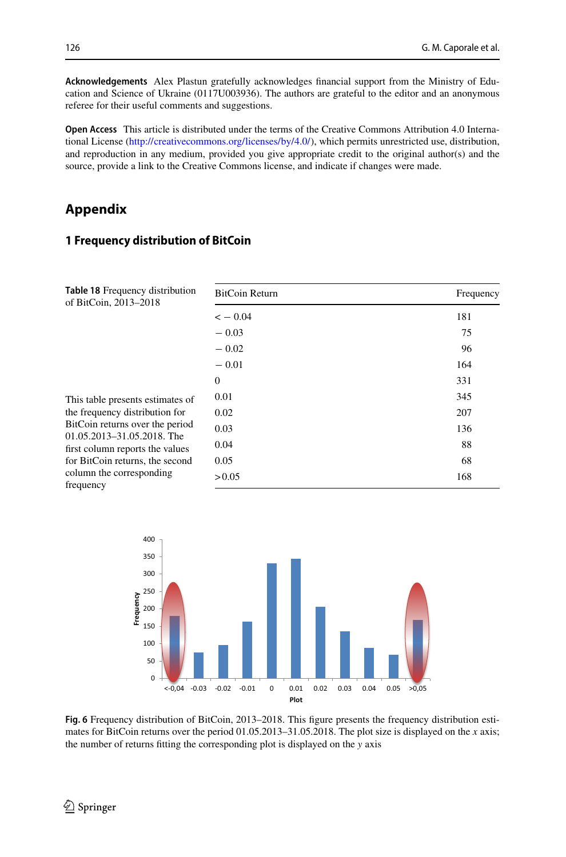**Acknowledgements** Alex Plastun gratefully acknowledges financial support from the Ministry of Education and Science of Ukraine (0117U003936). The authors are grateful to the editor and an anonymous referee for their useful comments and suggestions.

**Open Access** This article is distributed under the terms of the Creative Commons Attribution 4.0 International License [\(http://creativecommons.org/licenses/by/4.0/\)](http://creativecommons.org/licenses/by/4.0/), which permits unrestricted use, distribution, and reproduction in any medium, provided you give appropriate credit to the original author(s) and the source, provide a link to the Creative Commons license, and indicate if changes were made.

## **Appendix**

## **1 Frequency distribution of BitCoin**

<span id="page-17-0"></span>

| <b>Table 18 Frequency distribution</b><br>of BitCoin, 2013–2018                                                                                                                                           | BitCoin Return | Frequency |
|-----------------------------------------------------------------------------------------------------------------------------------------------------------------------------------------------------------|----------------|-----------|
|                                                                                                                                                                                                           | $<-0.04$       | 181       |
|                                                                                                                                                                                                           | $-0.03$        | 75        |
|                                                                                                                                                                                                           | $-0.02$        | 96        |
|                                                                                                                                                                                                           | $-0.01$        | 164       |
|                                                                                                                                                                                                           | $\mathbf{0}$   | 331       |
| This table presents estimates of<br>the frequency distribution for<br>BitCoin returns over the period<br>01.05.2013-31.05.2018. The<br>first column reports the values<br>for BitCoin returns, the second | 0.01           | 345       |
|                                                                                                                                                                                                           | 0.02           | 207       |
|                                                                                                                                                                                                           | 0.03           | 136       |
|                                                                                                                                                                                                           | 0.04           | 88        |
|                                                                                                                                                                                                           | 0.05           | 68        |
| column the corresponding<br>frequency                                                                                                                                                                     | > 0.05         | 168       |



<span id="page-17-1"></span>**Fig. 6** Frequency distribution of BitCoin, 2013–2018. This figure presents the frequency distribution estimates for BitCoin returns over the period 01.05.2013–31.05.2018. The plot size is displayed on the *x* axis; the number of returns fitting the corresponding plot is displayed on the *y* axis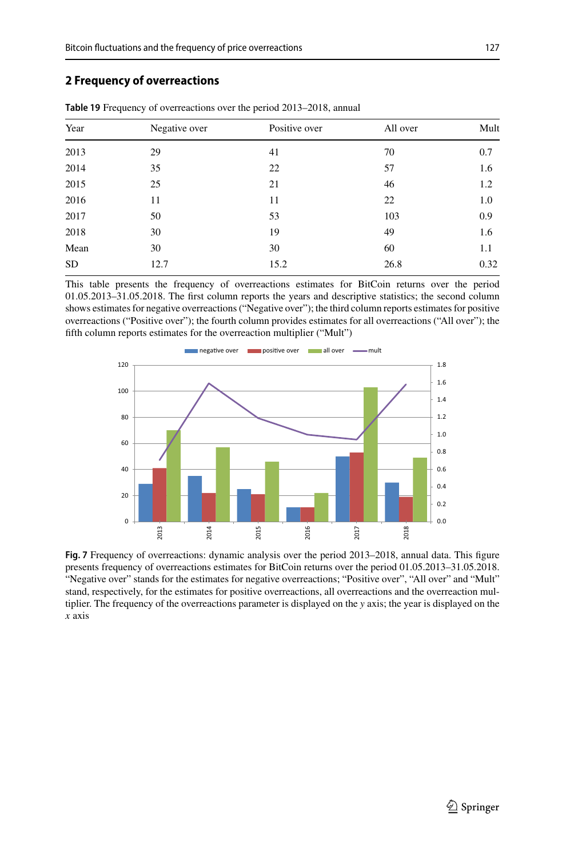### **2 Frequency of overreactions**

| Year      | Negative over | Positive over | All over | Mult |
|-----------|---------------|---------------|----------|------|
| 2013      | 29            | 41            | 70       | 0.7  |
| 2014      | 35            | 22            | 57       | 1.6  |
| 2015      | 25            | 21            | 46       | 1.2  |
| 2016      | 11            | 11            | 22       | 1.0  |
| 2017      | 50            | 53            | 103      | 0.9  |
| 2018      | 30            | 19            | 49       | 1.6  |
| Mean      | 30            | 30            | 60       | 1.1  |
| <b>SD</b> | 12.7          | 15.2          | 26.8     | 0.32 |

<span id="page-18-1"></span>**Table 19** Frequency of overreactions over the period 2013–2018, annual

This table presents the frequency of overreactions estimates for BitCoin returns over the period 01.05.2013–31.05.2018. The first column reports the years and descriptive statistics; the second column shows estimates for negative overreactions ("Negative over"); the third column reports estimates for positive overreactions ("Positive over"); the fourth column provides estimates for all overreactions ("All over"); the fifth column reports estimates for the overreaction multiplier ("Mult")



<span id="page-18-0"></span>**Fig. 7** Frequency of overreactions: dynamic analysis over the period 2013–2018, annual data. This figure presents frequency of overreactions estimates for BitCoin returns over the period 01.05.2013–31.05.2018. "Negative over" stands for the estimates for negative overreactions; "Positive over", "All over" and "Mult" stand, respectively, for the estimates for positive overreactions, all overreactions and the overreaction multiplier. The frequency of the overreactions parameter is displayed on the *y* axis; the year is displayed on the *x* axis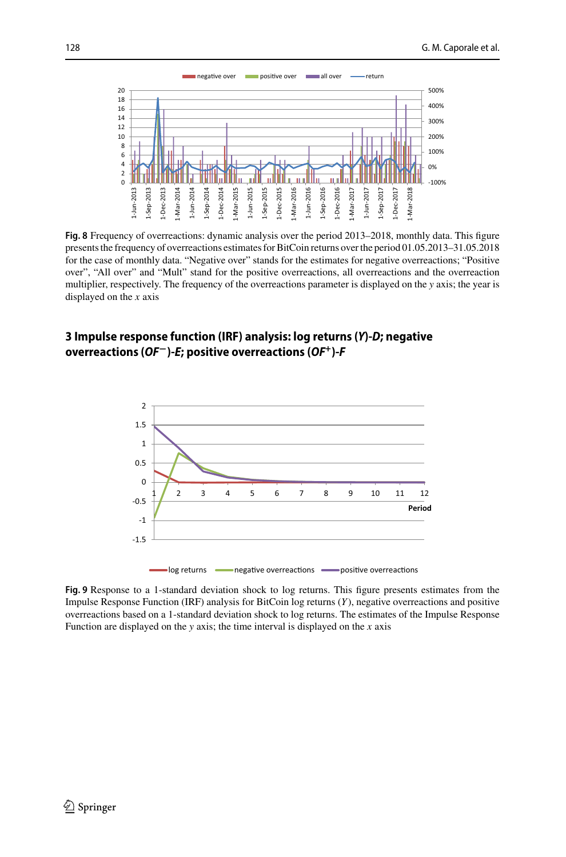

<span id="page-19-0"></span>**Fig. 8** Frequency of overreactions: dynamic analysis over the period 2013–2018, monthly data. This figure presents the frequency of overreactions estimates for BitCoin returns over the period 01.05.2013–31.05.2018 for the case of monthly data. "Negative over" stands for the estimates for negative overreactions; "Positive over", "All over" and "Mult" stand for the positive overreactions, all overreactions and the overreaction multiplier, respectively. The frequency of the overreactions parameter is displayed on the *y* axis; the year is displayed on the *x* axis

## **3 Impulse response function (IRF) analysis: log returns (***Y***)-***D***; negative overreactions (***OF***−)-***E***; positive overreactions (***OF+***)-***F*



 $\log$  returns  $\equiv$ ve overreactions **examples** positi ve overreactions

<span id="page-19-1"></span>**Fig. 9** Response to a 1-standard deviation shock to log returns. This figure presents estimates from the Impulse Response Function (IRF) analysis for BitCoin log returns (*Y*), negative overreactions and positive overreactions based on a 1-standard deviation shock to log returns. The estimates of the Impulse Response Function are displayed on the *y* axis; the time interval is displayed on the *x* axis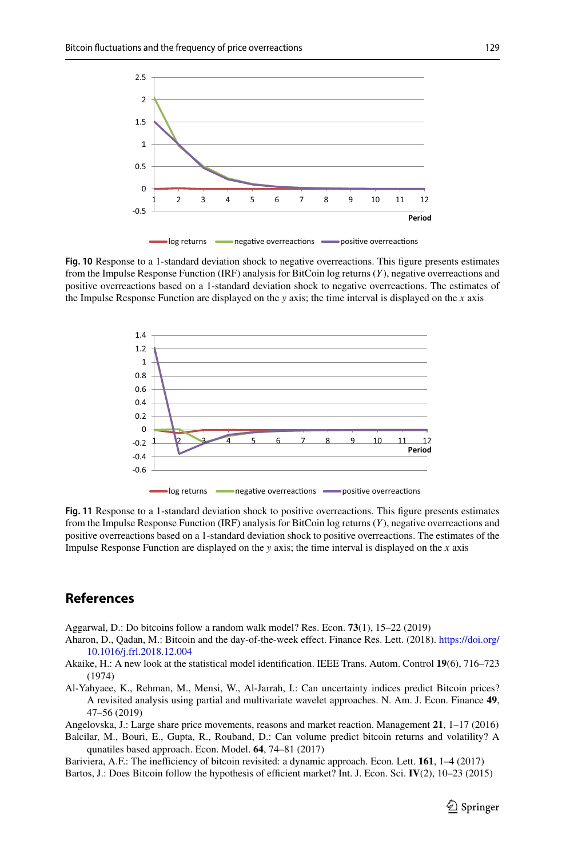

<span id="page-20-8"></span>**Fig. 10** Response to a 1-standard deviation shock to negative overreactions. This figure presents estimates from the Impulse Response Function (IRF) analysis for BitCoin log returns (*Y*), negative overreactions and positive overreactions based on a 1-standard deviation shock to negative overreactions. The estimates of the Impulse Response Function are displayed on the *y* axis; the time interval is displayed on the *x* axis



<span id="page-20-9"></span>**Fig. 11** Response to a 1-standard deviation shock to positive overreactions. This figure presents estimates from the Impulse Response Function (IRF) analysis for BitCoin log returns (*Y*), negative overreactions and positive overreactions based on a 1-standard deviation shock to positive overreactions. The estimates of the Impulse Response Function are displayed on the *y* axis; the time interval is displayed on the *x* axis

## **References**

<span id="page-20-4"></span>Aggarwal, D.: Do bitcoins follow a random walk model? Res. Econ. **73**(1), 15–22 (2019)

- <span id="page-20-5"></span>Aha[ron, D., Qadan, M.: Bitcoin and the day-of-the-week effect. Finance Res. Lett. \(2018\).](https://doi.org/10.1016/j.frl.2018.12.004) https://doi.org/ 10.1016/j.frl.2018.12.004
- <span id="page-20-7"></span>Akaike, H.: A new look at the statistical model identification. IEEE Trans. Autom. Control **19**(6), 716–723 (1974)
- <span id="page-20-1"></span>Al-Yahyaee, K., Rehman, M., Mensi, W., Al-Jarrah, I.: Can uncertainty indices predict Bitcoin prices? A revisited analysis using partial and multivariate wavelet approaches. N. Am. J. Econ. Finance **49**, 47–56 (2019)

<span id="page-20-6"></span>Angelovska, J.: Large share price movements, reasons and market reaction. Management **21**, 1–17 (2016) Balcilar, M., Bouri, E., Gupta, R., Rouband, D.: Can volume predict bitcoin returns and volatility? A

<span id="page-20-0"></span>qunatiles based approach. Econ. Model. **64**, 74–81 (2017) Bariviera, A.F.: The inefficiency of bitcoin revisited: a dynamic approach. Econ. Lett. **161**, 1–4 (2017)

<span id="page-20-3"></span><span id="page-20-2"></span>Bartos, J.: Does Bitcoin follow the hypothesis of efficient market? Int. J. Econ. Sci. **IV**(2), 10–23 (2015)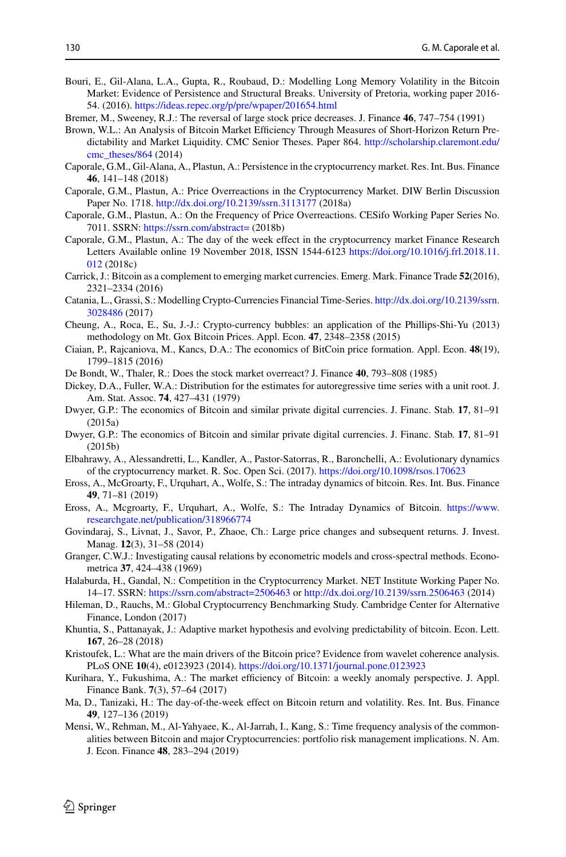- <span id="page-21-13"></span>Bouri, E., Gil-Alana, L.A., Gupta, R., Roubaud, D.: Modelling Long Memory Volatility in the Bitcoin Market: Evidence of Persistence and Structural Breaks. University of Pretoria, working paper 2016- 54. (2016). <https://ideas.repec.org/p/pre/wpaper/201654.html>
- <span id="page-21-24"></span>Bremer, M., Sweeney, R.J.: The reversal of large stock price decreases. J. Finance **46**, 747–754 (1991)
- <span id="page-21-10"></span>Brown, W.L.: An Analysis of Bitcoin Market Efficiency Through Measures of Short-Horizon Return Pre[dictability and Market Liquidity. CMC Senior Theses. Paper 864.](http://scholarship.claremont.edu/cmc_theses/864) http://scholarship.claremont.edu/ cmc\_theses/864 (2014)
- <span id="page-21-9"></span>Caporale, G.M., Gil-Alana, A., Plastun, A.: Persistence in the cryptocurrency market. Res. Int. Bus. Finance **46**, 141–148 (2018)
- <span id="page-21-1"></span>Caporale, G.M., Plastun, A.: Price Overreactions in the Cryptocurrency Market. DIW Berlin Discussion Paper No. 1718. <http://dx.doi.org/10.2139/ssrn.3113177> (2018a)
- <span id="page-21-22"></span>Caporale, G.M., Plastun, A.: On the Frequency of Price Overreactions. CESifo Working Paper Series No. 7011. SSRN: <https://ssrn.com/abstract=> (2018b)
- <span id="page-21-16"></span>Caporale, G.M., Plastun, A.: The day of the week effect in the cryptocurrency market Finance Research [Letters Available online 19 November 2018, ISSN 1544-6123](https://doi.org/10.1016/j.frl.2018.11.012) https://doi.org/10.1016/j.frl.2018.11. 012 (2018c)
- <span id="page-21-12"></span>Carrick, J.: Bitcoin as a complement to emerging market currencies. Emerg. Mark. Finance Trade **52**(2016), 2321–2334 (2016)
- <span id="page-21-14"></span>Cata[nia, L., Grassi, S.: Modelling Crypto-Currencies Financial Time-Series.](http://dx.doi.org/10.2139/ssrn.3028486) http://dx.doi.org/10.2139/ssrn. 3028486 (2017)
- <span id="page-21-11"></span>Cheung, A., Roca, E., Su, J.-J.: Crypto-currency bubbles: an application of the Phillips-Shi-Yu (2013) methodology on Mt. Gox Bitcoin Prices. Appl. Econ. **47**, 2348–2358 (2015)
- <span id="page-21-2"></span>Ciaian, P., Rajcaniova, M., Kancs, D.A.: The economics of BitCoin price formation. Appl. Econ. **48**(19), 1799–1815 (2016)
- <span id="page-21-0"></span>De Bondt, W., Thaler, R.: Does the stock market overreact? J. Finance **40**, 793–808 (1985)
- <span id="page-21-26"></span>Dickey, D.A., Fuller, W.A.: Distribution for the estimates for autoregressive time series with a unit root. J. Am. Stat. Assoc. **74**, 427–431 (1979)
- <span id="page-21-5"></span>Dwyer, G.P.: The economics of Bitcoin and similar private digital currencies. J. Financ. Stab. **17**, 81–91 (2015a)
- <span id="page-21-6"></span>Dwyer, G.P.: The economics of Bitcoin and similar private digital currencies. J. Financ. Stab. **17**, 81–91 (2015b)
- <span id="page-21-7"></span>Elbahrawy, A., Alessandretti, L., Kandler, A., Pastor-Satorras, R., Baronchelli, A.: Evolutionary dynamics of the cryptocurrency market. R. Soc. Open Sci. (2017). <https://doi.org/10.1098/rsos.170623>
- <span id="page-21-19"></span>Eross, A., McGroarty, F., Urquhart, A., Wolfe, S.: The intraday dynamics of bitcoin. Res. Int. Bus. Finance **49**, 71–81 (2019)
- <span id="page-21-17"></span>Eros[s, A., Mcgroarty, F., Urquhart, A., Wolfe, S.: The Intraday Dynamics of Bitcoin.](https://www.researchgate.net/publication/318966774) https://www. researchgate.net/publication/318966774
- <span id="page-21-23"></span>Govindaraj, S., Livnat, J., Savor, P., Zhaoe, Ch.: Large price changes and subsequent returns. J. Invest. Manag. **12**(3), 31–58 (2014)
- <span id="page-21-25"></span>Granger, C.W.J.: Investigating causal relations by econometric models and cross-spectral methods. Econometrica **37**, 424–438 (1969)
- <span id="page-21-8"></span>Halaburda, H., Gandal, N.: Competition in the Cryptocurrency Market. NET Institute Working Paper No. 14–17. SSRN: <https://ssrn.com/abstract=2506463> or <http://dx.doi.org/10.2139/ssrn.2506463> (2014)
- <span id="page-21-4"></span>Hileman, D., Rauchs, M.: Global Cryptocurrency Benchmarking Study. Cambridge Center for Alternative Finance, London (2017)
- <span id="page-21-3"></span>Khuntia, S., Pattanayak, J.: Adaptive market hypothesis and evolving predictability of bitcoin. Econ. Lett. **167**, 26–28 (2018)
- <span id="page-21-21"></span>Kristoufek, L.: What are the main drivers of the Bitcoin price? Evidence from wavelet coherence analysis. PLoS ONE **10**(4), e0123923 (2014). <https://doi.org/10.1371/journal.pone.0123923>
- <span id="page-21-15"></span>Kurihara, Y., Fukushima, A.: The market efficiency of Bitcoin: a weekly anomaly perspective. J. Appl. Finance Bank. **7**(3), 57–64 (2017)
- <span id="page-21-18"></span>Ma, D., Tanizaki, H.: The day-of-the-week effect on Bitcoin return and volatility. Res. Int. Bus. Finance **49**, 127–136 (2019)
- <span id="page-21-20"></span>Mensi, W., Rehman, M., Al-Yahyaee, K., Al-Jarrah, I., Kang, S.: Time frequency analysis of the commonalities between Bitcoin and major Cryptocurrencies: portfolio risk management implications. N. Am. J. Econ. Finance **48**, 283–294 (2019)